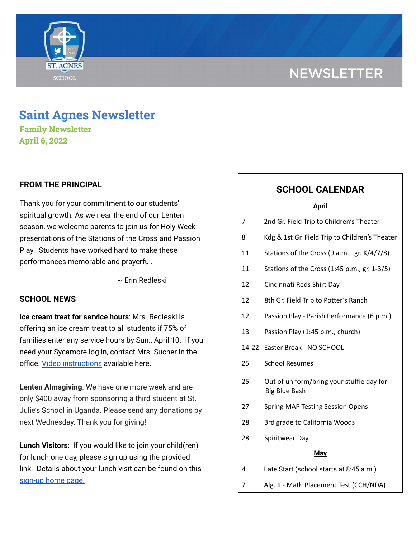# **NEWSLETTER**



## **Saint Agnes Newsletter**

**Family Newsletter April 6, 2022**

### **FROM THE PRINCIPAL**

Thank you for your commitment to our students' spiritual growth. As we near the end of our Lenten season, we welcome parents to join us for Holy Week presentations of the Stations of the Cross and Passion Play. Students have worked hard to make these performances memorable and prayerful.

~ Erin Redleski

### **SCHOOL NEWS**

**Ice cream treat for service hours**: Mrs. Redleski is offering an ice cream treat to all students if 75% of families enter any service hours by Sun., April 10. If you need your Sycamore log in, contact Mrs. Sucher in the office. Video [instructions](https://drive.google.com/file/d/1cmYj9N-NF2btSiiG8QdTD20q2RJRpwk7/view?usp=sharing) available here.

**Lenten Almsgiving**: We have one more week and are only \$400 away from sponsoring a third student at St. Julie's School in Uganda. Please send any donations by next Wednesday. Thank you for giving!

**Lunch Visitors**: If you would like to join your child(ren) for lunch one day, please sign up using the provided link. Details about your lunch visit can be found on this [sign-up](https://signup.com/Group/7270313220456800119/) home page.

## **SCHOOL CALENDAR**

| <b>April</b> |                                                                   |
|--------------|-------------------------------------------------------------------|
| 7            | 2nd Gr. Field Trip to Children's Theater                          |
| 8            | Kdg & 1st Gr. Field Trip to Children's Theater                    |
| 11           | Stations of the Cross (9 a.m., gr. K/4/7/8)                       |
| 11           | Stations of the Cross (1:45 p.m., gr. 1-3/5)                      |
| 12           | Cincinnati Reds Shirt Day                                         |
| 12           | 8th Gr. Field Trip to Potter's Ranch                              |
| 12           | Passion Play - Parish Performance (6 p.m.)                        |
| 13           | Passion Play (1:45 p.m., church)                                  |
|              | 14-22 Easter Break - NO SCHOOL                                    |
| 25           | <b>School Resumes</b>                                             |
| 25           | Out of uniform/bring your stuffie day for<br><b>Big Blue Bash</b> |
| 27           | <b>Spring MAP Testing Session Opens</b>                           |
| 28           | 3rd grade to California Woods                                     |
| 28           | Spiritwear Day                                                    |
| <b>May</b>   |                                                                   |
| 4            | Late Start (school starts at 8:45 a.m.)                           |
| 7            | Alg. II - Math Placement Test (CCH/NDA)                           |